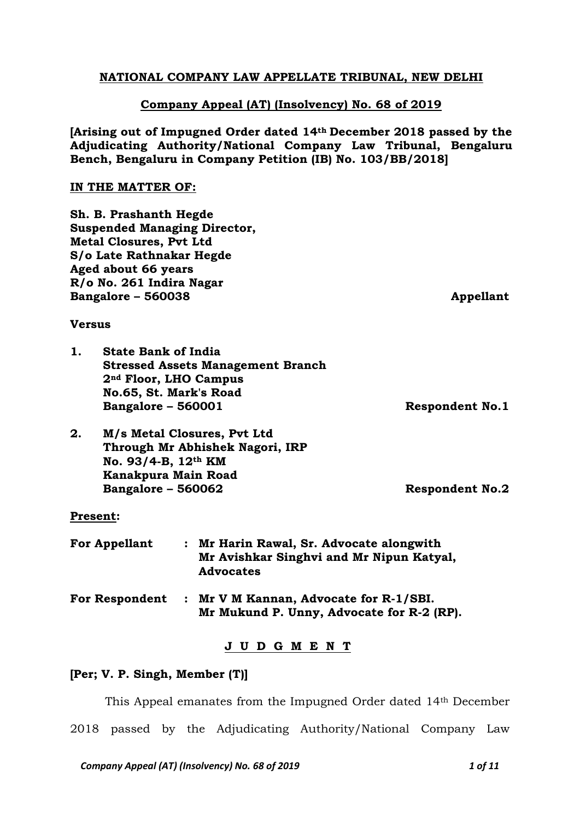# **NATIONAL COMPANY LAW APPELLATE TRIBUNAL, NEW DELHI**

## **Company Appeal (AT) (Insolvency) No. 68 of 2019**

**[Arising out of Impugned Order dated 14th December 2018 passed by the Adjudicating Authority/National Company Law Tribunal, Bengaluru Bench, Bengaluru in Company Petition (IB) No. 103/BB/2018]**

#### **IN THE MATTER OF:**

**Sh. B. Prashanth Hegde Suspended Managing Director, Metal Closures, Pvt Ltd S/o Late Rathnakar Hegde Aged about 66 years R/o No. 261 Indira Nagar Bangalore – 560038 Appellant**

### **Versus**

| 1. | <b>State Bank of India</b>               |  |  |
|----|------------------------------------------|--|--|
|    | <b>Stressed Assets Management Branch</b> |  |  |
|    | 2 <sup>nd</sup> Floor, LHO Campus        |  |  |
|    | No.65, St. Mark's Road                   |  |  |
|    | <b>Bangalore - 560001</b>                |  |  |

**Bangalore – 560001 Respondent No.1**

**2. M/s Metal Closures, Pvt Ltd Through Mr Abhishek Nagori, IRP No. 93/4-B, 12th KM Kanakpura Main Road Bangalore – 560062 Respondent No.2**

### **Present:**

| <b>For Appellant</b>  | : Mr Harin Rawal, Sr. Advocate alongwith<br>Mr Avishkar Singhvi and Mr Nipun Katyal,<br><b>Advocates</b> |
|-----------------------|----------------------------------------------------------------------------------------------------------|
| <b>For Respondent</b> | : Mr V M Kannan, Advocate for R-1/SBI.<br>Mr Mukund P. Unny, Advocate for R-2 (RP).                      |

### **J U D G M E N T**

### **[Per; V. P. Singh, Member (T)]**

This Appeal emanates from the Impugned Order dated 14th December 2018 passed by the Adjudicating Authority/National Company Law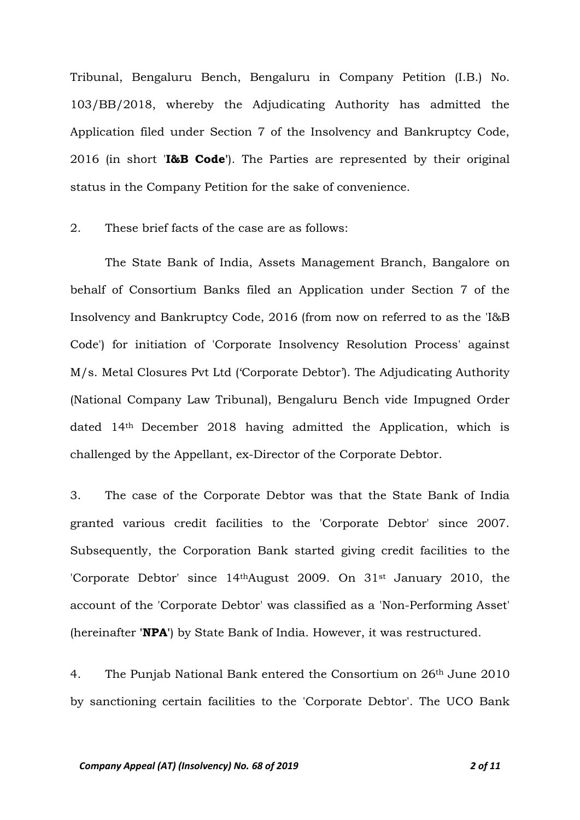Tribunal, Bengaluru Bench, Bengaluru in Company Petition (I.B.) No. 103/BB/2018, whereby the Adjudicating Authority has admitted the Application filed under Section 7 of the Insolvency and Bankruptcy Code, 2016 (in short '**I&B Code'**). The Parties are represented by their original status in the Company Petition for the sake of convenience.

### 2. These brief facts of the case are as follows:

The State Bank of India, Assets Management Branch, Bangalore on behalf of Consortium Banks filed an Application under Section 7 of the Insolvency and Bankruptcy Code, 2016 (from now on referred to as the 'I&B Code') for initiation of 'Corporate Insolvency Resolution Process' against M/s. Metal Closures Pvt Ltd ('Corporate Debtor'). The Adjudicating Authority (National Company Law Tribunal), Bengaluru Bench vide Impugned Order dated 14th December 2018 having admitted the Application, which is challenged by the Appellant, ex-Director of the Corporate Debtor.

3. The case of the Corporate Debtor was that the State Bank of India granted various credit facilities to the 'Corporate Debtor' since 2007. Subsequently, the Corporation Bank started giving credit facilities to the 'Corporate Debtor' since 14thAugust 2009. On 31st January 2010, the account of the 'Corporate Debtor' was classified as a 'Non-Performing Asset' (hereinafter **'NPA'**) by State Bank of India. However, it was restructured.

4. The Punjab National Bank entered the Consortium on 26th June 2010 by sanctioning certain facilities to the 'Corporate Debtor'. The UCO Bank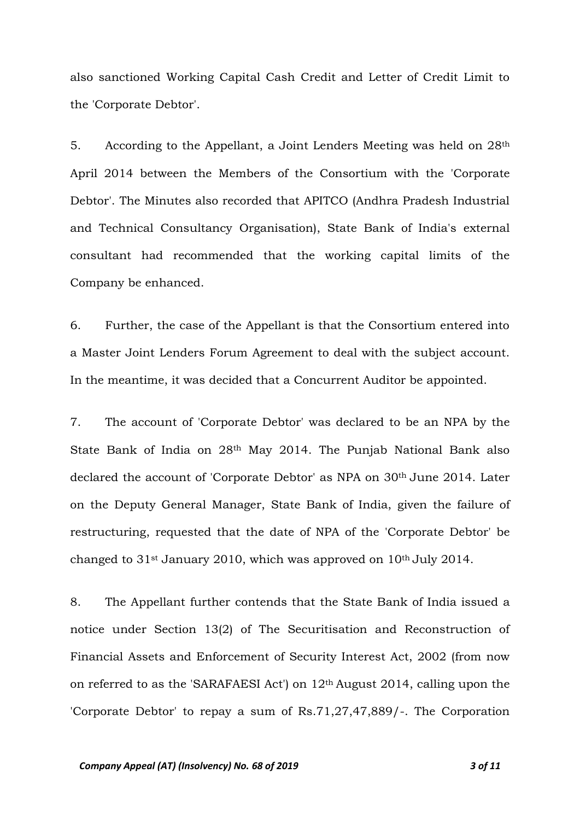also sanctioned Working Capital Cash Credit and Letter of Credit Limit to the 'Corporate Debtor'.

5. According to the Appellant, a Joint Lenders Meeting was held on 28th April 2014 between the Members of the Consortium with the 'Corporate Debtor'. The Minutes also recorded that APITCO (Andhra Pradesh Industrial and Technical Consultancy Organisation), State Bank of India's external consultant had recommended that the working capital limits of the Company be enhanced.

6. Further, the case of the Appellant is that the Consortium entered into a Master Joint Lenders Forum Agreement to deal with the subject account. In the meantime, it was decided that a Concurrent Auditor be appointed.

7. The account of 'Corporate Debtor' was declared to be an NPA by the State Bank of India on 28th May 2014. The Punjab National Bank also declared the account of 'Corporate Debtor' as NPA on 30<sup>th</sup> June 2014. Later on the Deputy General Manager, State Bank of India, given the failure of restructuring, requested that the date of NPA of the 'Corporate Debtor' be changed to  $31$ <sup>st</sup> January 2010, which was approved on  $10<sup>th</sup>$  July 2014.

8. The Appellant further contends that the State Bank of India issued a notice under Section 13(2) of The Securitisation and Reconstruction of Financial Assets and Enforcement of Security Interest Act, 2002 (from now on referred to as the 'SARAFAESI Act') on 12th August 2014, calling upon the 'Corporate Debtor' to repay a sum of Rs.71,27,47,889/-. The Corporation

#### *Company Appeal (AT) (Insolvency) No. 68 of 2019 3 of 11*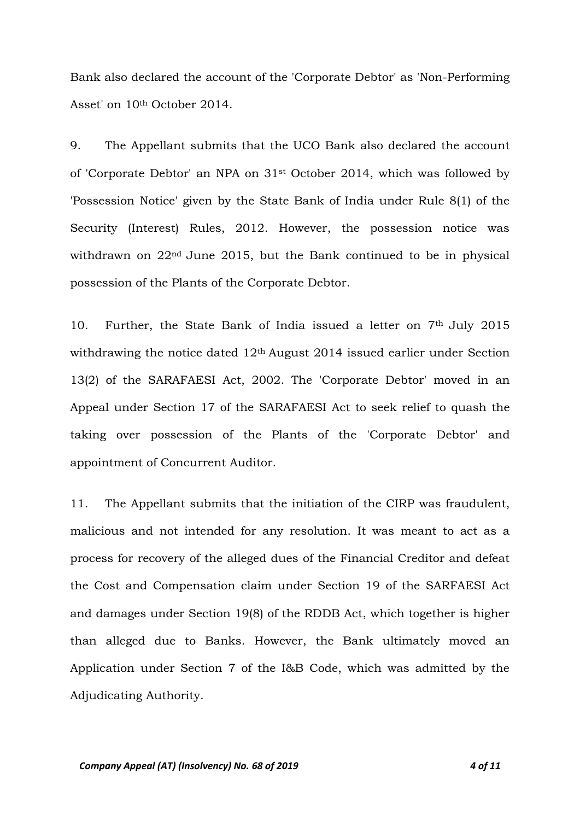Bank also declared the account of the 'Corporate Debtor' as 'Non-Performing Asset' on 10th October 2014.

9. The Appellant submits that the UCO Bank also declared the account of 'Corporate Debtor' an NPA on 31st October 2014, which was followed by 'Possession Notice' given by the State Bank of India under Rule 8(1) of the Security (Interest) Rules, 2012. However, the possession notice was withdrawn on 22nd June 2015, but the Bank continued to be in physical possession of the Plants of the Corporate Debtor.

10. Further, the State Bank of India issued a letter on 7th July 2015 withdrawing the notice dated 12<sup>th</sup> August 2014 issued earlier under Section 13(2) of the SARAFAESI Act, 2002. The 'Corporate Debtor' moved in an Appeal under Section 17 of the SARAFAESI Act to seek relief to quash the taking over possession of the Plants of the 'Corporate Debtor' and appointment of Concurrent Auditor.

11. The Appellant submits that the initiation of the CIRP was fraudulent, malicious and not intended for any resolution. It was meant to act as a process for recovery of the alleged dues of the Financial Creditor and defeat the Cost and Compensation claim under Section 19 of the SARFAESI Act and damages under Section 19(8) of the RDDB Act, which together is higher than alleged due to Banks. However, the Bank ultimately moved an Application under Section 7 of the I&B Code, which was admitted by the Adjudicating Authority.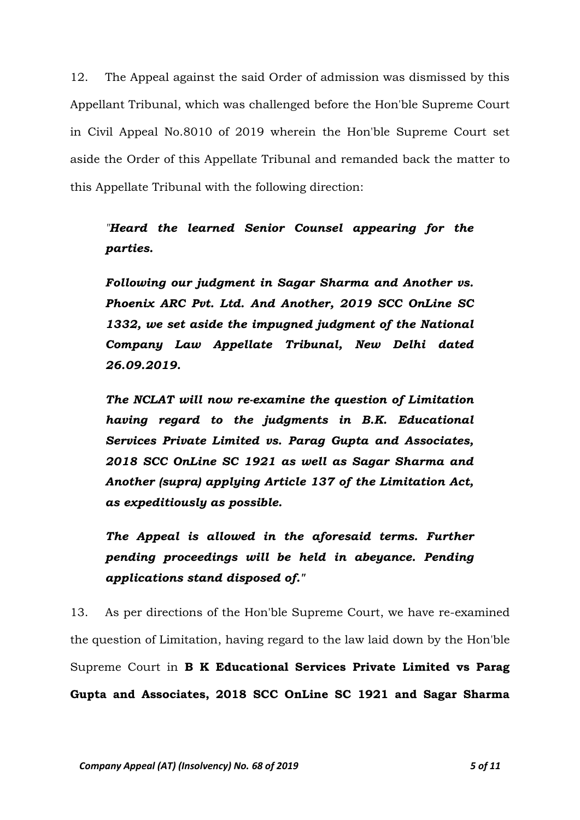12. The Appeal against the said Order of admission was dismissed by this Appellant Tribunal, which was challenged before the Hon'ble Supreme Court in Civil Appeal No.8010 of 2019 wherein the Hon'ble Supreme Court set aside the Order of this Appellate Tribunal and remanded back the matter to this Appellate Tribunal with the following direction:

*"Heard the learned Senior Counsel appearing for the parties.*

*Following our judgment in Sagar Sharma and Another vs. Phoenix ARC Pvt. Ltd. And Another, 2019 SCC OnLine SC 1332, we set aside the impugned judgment of the National Company Law Appellate Tribunal, New Delhi dated 26.09.2019.*

*The NCLAT will now re-examine the question of Limitation having regard to the judgments in B.K. Educational Services Private Limited vs. Parag Gupta and Associates, 2018 SCC OnLine SC 1921 as well as Sagar Sharma and Another (supra) applying Article 137 of the Limitation Act, as expeditiously as possible.*

*The Appeal is allowed in the aforesaid terms. Further pending proceedings will be held in abeyance. Pending applications stand disposed of."*

13. As per directions of the Hon'ble Supreme Court, we have re-examined the question of Limitation, having regard to the law laid down by the Hon'ble Supreme Court in **B K Educational Services Private Limited vs Parag Gupta and Associates, 2018 SCC OnLine SC 1921 and Sagar Sharma**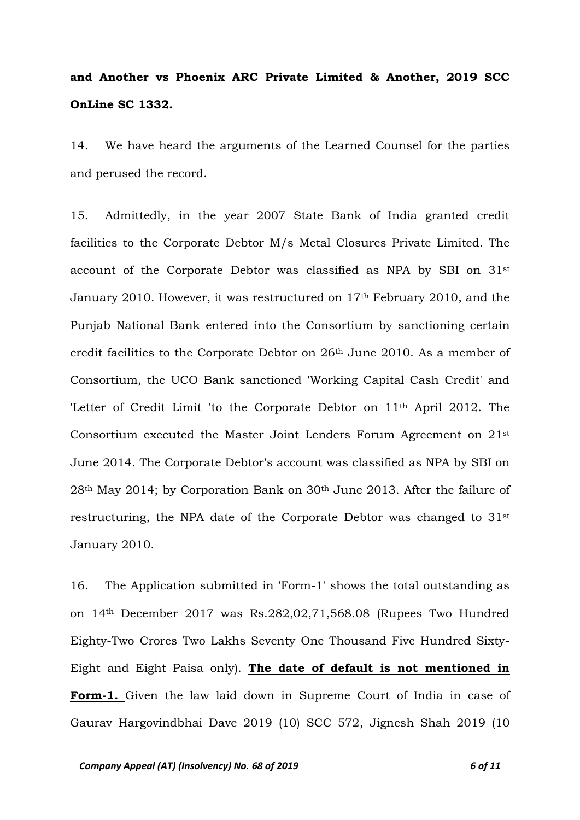# **and Another vs Phoenix ARC Private Limited & Another, 2019 SCC OnLine SC 1332.**

14. We have heard the arguments of the Learned Counsel for the parties and perused the record.

15. Admittedly, in the year 2007 State Bank of India granted credit facilities to the Corporate Debtor M/s Metal Closures Private Limited. The account of the Corporate Debtor was classified as NPA by SBI on 31st January 2010. However, it was restructured on 17th February 2010, and the Punjab National Bank entered into the Consortium by sanctioning certain credit facilities to the Corporate Debtor on 26th June 2010. As a member of Consortium, the UCO Bank sanctioned 'Working Capital Cash Credit' and 'Letter of Credit Limit 'to the Corporate Debtor on 11th April 2012. The Consortium executed the Master Joint Lenders Forum Agreement on 21st June 2014. The Corporate Debtor's account was classified as NPA by SBI on 28th May 2014; by Corporation Bank on 30th June 2013. After the failure of restructuring, the NPA date of the Corporate Debtor was changed to 31st January 2010.

16. The Application submitted in 'Form-1' shows the total outstanding as on 14th December 2017 was Rs.282,02,71,568.08 (Rupees Two Hundred Eighty-Two Crores Two Lakhs Seventy One Thousand Five Hundred Sixty-Eight and Eight Paisa only). **The date of default is not mentioned in Form-1.** Given the law laid down in Supreme Court of India in case of Gaurav Hargovindbhai Dave 2019 (10) SCC 572, Jignesh Shah 2019 (10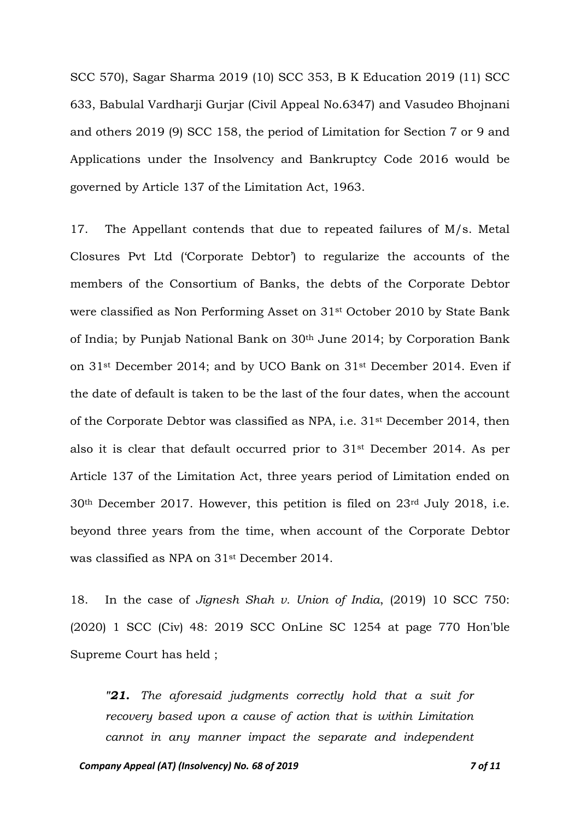SCC 570), Sagar Sharma 2019 (10) SCC 353, B K Education 2019 (11) SCC 633, Babulal Vardharji Gurjar (Civil Appeal No.6347) and Vasudeo Bhojnani and others 2019 (9) SCC 158, the period of Limitation for Section 7 or 9 and Applications under the Insolvency and Bankruptcy Code 2016 would be governed by Article 137 of the Limitation Act, 1963.

17. The Appellant contends that due to repeated failures of M/s. Metal Closures Pvt Ltd ('Corporate Debtor') to regularize the accounts of the members of the Consortium of Banks, the debts of the Corporate Debtor were classified as Non Performing Asset on 31st October 2010 by State Bank of India; by Punjab National Bank on 30th June 2014; by Corporation Bank on 31st December 2014; and by UCO Bank on 31st December 2014. Even if the date of default is taken to be the last of the four dates, when the account of the Corporate Debtor was classified as NPA, i.e. 31st December 2014, then also it is clear that default occurred prior to 31st December 2014. As per Article 137 of the Limitation Act, three years period of Limitation ended on 30th December 2017. However, this petition is filed on 23rd July 2018, i.e. beyond three years from the time, when account of the Corporate Debtor was classified as NPA on 31st December 2014.

18. In the case of *Jignesh Shah v. Union of India*, (2019) 10 SCC 750: (2020) 1 SCC (Civ) 48: 2019 SCC OnLine SC 1254 at page 770 Hon'ble Supreme Court has held ;

*"21. The aforesaid judgments correctly hold that a suit for recovery based upon a cause of action that is within Limitation cannot in any manner impact the separate and independent*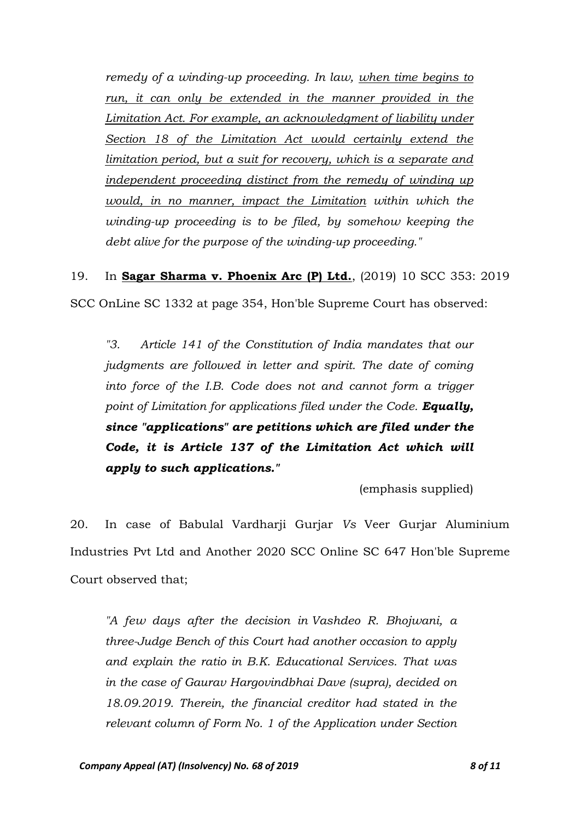*remedy of a winding-up proceeding. In law, when time begins to*  run, it can only be extended in the manner provided in the *Limitation Act. For example, an acknowledgment of liability under Section 18 of the Limitation Act would certainly extend the limitation period, but a suit for recovery, which is a separate and independent proceeding distinct from the remedy of winding up would, in no manner, impact the Limitation within which the winding-up proceeding is to be filed, by somehow keeping the debt alive for the purpose of the winding-up proceeding."*

19. In **Sagar Sharma v. Phoenix Arc (P) Ltd.**, (2019) 10 SCC 353: 2019 SCC OnLine SC 1332 at page 354, Hon'ble Supreme Court has observed:

*"3. Article 141 of the Constitution of India mandates that our judgments are followed in letter and spirit. The date of coming into force of the I.B. Code does not and cannot form a trigger point of Limitation for applications filed under the Code. Equally, since "applications" are petitions which are filed under the Code, it is Article 137 of the Limitation Act which will apply to such applications."*

(emphasis supplied)

20. In case of Babulal Vardharji Gurjar *Vs* Veer Gurjar Aluminium Industries Pvt Ltd and Another 2020 SCC Online SC 647 Hon'ble Supreme Court observed that;

*"A few days after the decision in Vashdeo R. Bhojwani, a three-Judge Bench of this Court had another occasion to apply and explain the ratio in B.K. Educational Services. That was in the case of Gaurav Hargovindbhai Dave (supra), decided on 18.09.2019. Therein, the financial creditor had stated in the relevant column of Form No. 1 of the Application under Section*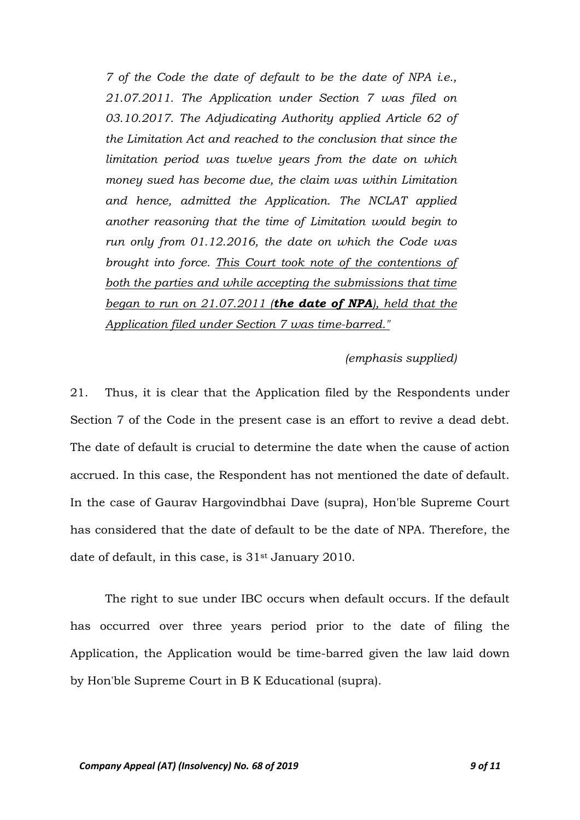*7 of the Code the date of default to be the date of NPA i.e., 21.07.2011. The Application under Section 7 was filed on 03.10.2017. The Adjudicating Authority applied Article 62 of the Limitation Act and reached to the conclusion that since the limitation period was twelve years from the date on which money sued has become due, the claim was within Limitation and hence, admitted the Application. The NCLAT applied another reasoning that the time of Limitation would begin to run only from 01.12.2016, the date on which the Code was brought into force. This Court took note of the contentions of both the parties and while accepting the submissions that time began to run on 21.07.2011 (the date of NPA), held that the Application filed under Section 7 was time-barred."*

### *(emphasis supplied)*

21. Thus, it is clear that the Application filed by the Respondents under Section 7 of the Code in the present case is an effort to revive a dead debt. The date of default is crucial to determine the date when the cause of action accrued. In this case, the Respondent has not mentioned the date of default. In the case of Gaurav Hargovindbhai Dave (supra), Hon'ble Supreme Court has considered that the date of default to be the date of NPA. Therefore, the date of default, in this case, is 31<sup>st</sup> January 2010.

The right to sue under IBC occurs when default occurs. If the default has occurred over three years period prior to the date of filing the Application, the Application would be time-barred given the law laid down by Hon'ble Supreme Court in B K Educational (supra).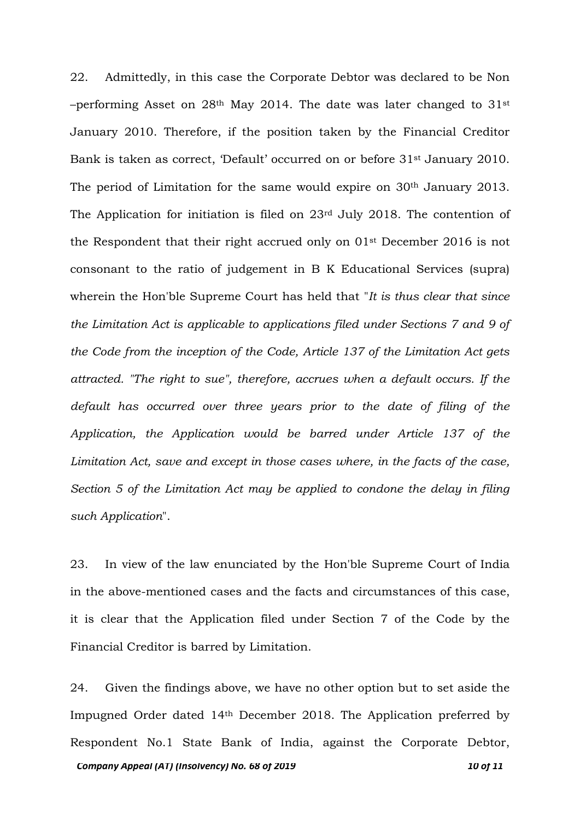22. Admittedly, in this case the Corporate Debtor was declared to be Non –performing Asset on  $28<sup>th</sup>$  May 2014. The date was later changed to  $31<sup>st</sup>$ January 2010. Therefore, if the position taken by the Financial Creditor Bank is taken as correct, 'Default' occurred on or before 31st January 2010. The period of Limitation for the same would expire on 30<sup>th</sup> January 2013. The Application for initiation is filed on 23rd July 2018. The contention of the Respondent that their right accrued only on 01st December 2016 is not consonant to the ratio of judgement in B K Educational Services (supra) wherein the Hon'ble Supreme Court has held that "*It is thus clear that since the Limitation Act is applicable to applications filed under Sections 7 and 9 of the Code from the inception of the Code, Article 137 of the Limitation Act gets attracted. "The right to sue", therefore, accrues when a default occurs. If the default has occurred over three years prior to the date of filing of the Application, the Application would be barred under Article 137 of the Limitation Act, save and except in those cases where, in the facts of the case, Section 5 of the Limitation Act may be applied to condone the delay in filing such Application*".

23. In view of the law enunciated by the Hon'ble Supreme Court of India in the above-mentioned cases and the facts and circumstances of this case, it is clear that the Application filed under Section 7 of the Code by the Financial Creditor is barred by Limitation.

*Company Appeal (AT) (Insolvency) No. 68 of 2019* 100 **12 10 11** 10 **11** 24. Given the findings above, we have no other option but to set aside the Impugned Order dated 14th December 2018. The Application preferred by Respondent No.1 State Bank of India, against the Corporate Debtor,